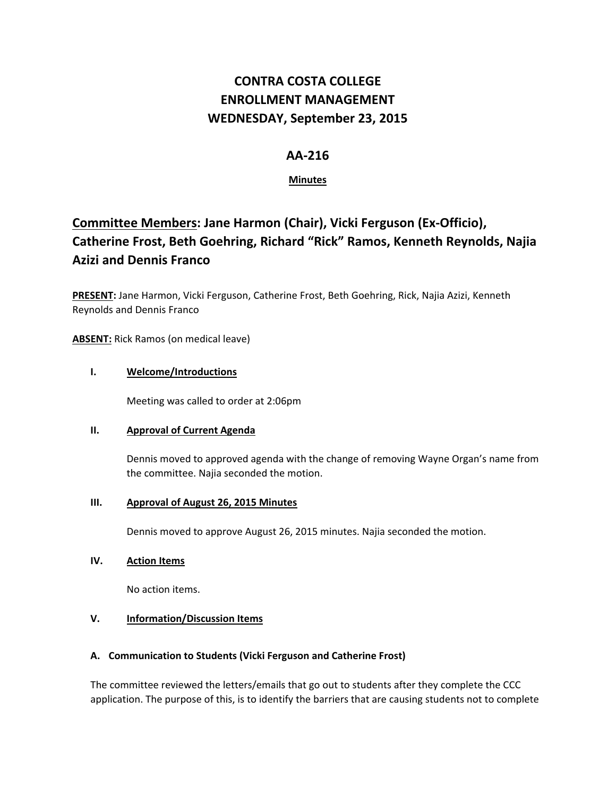# **CONTRA COSTA COLLEGE ENROLLMENT MANAGEMENT WEDNESDAY, September 23, 2015**

# **AA‐216**

# **Minutes**

# **Committee Members: Jane Harmon (Chair), Vicki Ferguson (Ex‐Officio), Catherine Frost, Beth Goehring, Richard "Rick" Ramos, Kenneth Reynolds, Najia Azizi and Dennis Franco**

**PRESENT:** Jane Harmon, Vicki Ferguson, Catherine Frost, Beth Goehring, Rick, Najia Azizi, Kenneth Reynolds and Dennis Franco

**ABSENT:** Rick Ramos (on medical leave)

## **I. Welcome/Introductions**

Meeting was called to order at 2:06pm

#### **II. Approval of Current Agenda**

Dennis moved to approved agenda with the change of removing Wayne Organ's name from the committee. Najia seconded the motion.

## **III. Approval of August 26, 2015 Minutes**

Dennis moved to approve August 26, 2015 minutes. Najia seconded the motion.

#### **IV. Action Items**

No action items.

# **V. Information/Discussion Items**

#### **A. Communication to Students (Vicki Ferguson and Catherine Frost)**

The committee reviewed the letters/emails that go out to students after they complete the CCC application. The purpose of this, is to identify the barriers that are causing students not to complete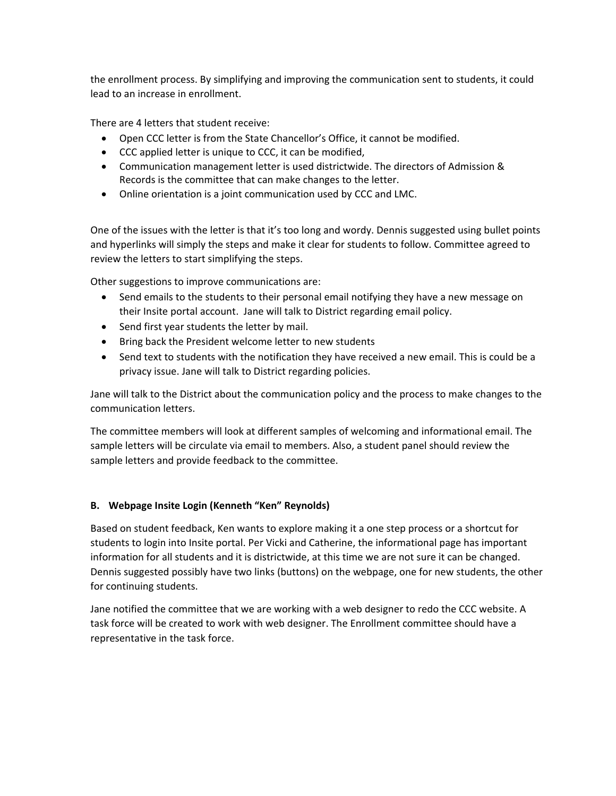the enrollment process. By simplifying and improving the communication sent to students, it could lead to an increase in enrollment.

There are 4 letters that student receive:

- Open CCC letter is from the State Chancellor's Office, it cannot be modified.
- CCC applied letter is unique to CCC, it can be modified,
- Communication management letter is used districtwide. The directors of Admission & Records is the committee that can make changes to the letter.
- Online orientation is a joint communication used by CCC and LMC.

One of the issues with the letter is that it's too long and wordy. Dennis suggested using bullet points and hyperlinks will simply the steps and make it clear for students to follow. Committee agreed to review the letters to start simplifying the steps.

Other suggestions to improve communications are:

- Send emails to the students to their personal email notifying they have a new message on their Insite portal account. Jane will talk to District regarding email policy.
- Send first year students the letter by mail.
- Bring back the President welcome letter to new students
- Send text to students with the notification they have received a new email. This is could be a privacy issue. Jane will talk to District regarding policies.

Jane will talk to the District about the communication policy and the process to make changes to the communication letters.

The committee members will look at different samples of welcoming and informational email. The sample letters will be circulate via email to members. Also, a student panel should review the sample letters and provide feedback to the committee.

#### **B. Webpage Insite Login (Kenneth "Ken" Reynolds)**

Based on student feedback, Ken wants to explore making it a one step process or a shortcut for students to login into Insite portal. Per Vicki and Catherine, the informational page has important information for all students and it is districtwide, at this time we are not sure it can be changed. Dennis suggested possibly have two links (buttons) on the webpage, one for new students, the other for continuing students.

Jane notified the committee that we are working with a web designer to redo the CCC website. A task force will be created to work with web designer. The Enrollment committee should have a representative in the task force.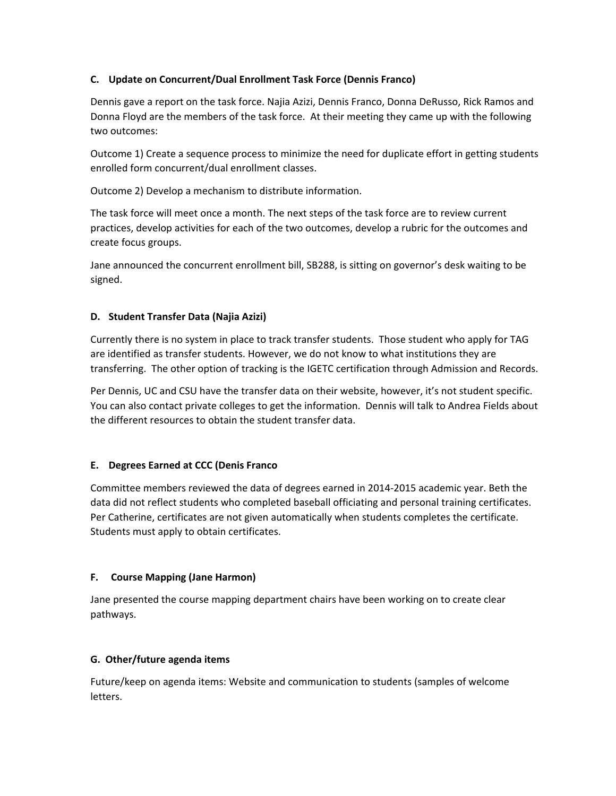## **C. Update on Concurrent/Dual Enrollment Task Force (Dennis Franco)**

Dennis gave a report on the task force. Najia Azizi, Dennis Franco, Donna DeRusso, Rick Ramos and Donna Floyd are the members of the task force. At their meeting they came up with the following two outcomes:

Outcome 1) Create a sequence process to minimize the need for duplicate effort in getting students enrolled form concurrent/dual enrollment classes.

Outcome 2) Develop a mechanism to distribute information.

The task force will meet once a month. The next steps of the task force are to review current practices, develop activities for each of the two outcomes, develop a rubric for the outcomes and create focus groups.

Jane announced the concurrent enrollment bill, SB288, is sitting on governor's desk waiting to be signed.

## **D. Student Transfer Data (Najia Azizi)**

Currently there is no system in place to track transfer students. Those student who apply for TAG are identified as transfer students. However, we do not know to what institutions they are transferring. The other option of tracking is the IGETC certification through Admission and Records.

Per Dennis, UC and CSU have the transfer data on their website, however, it's not student specific. You can also contact private colleges to get the information. Dennis will talk to Andrea Fields about the different resources to obtain the student transfer data.

#### **E. Degrees Earned at CCC (Denis Franco**

Committee members reviewed the data of degrees earned in 2014‐2015 academic year. Beth the data did not reflect students who completed baseball officiating and personal training certificates. Per Catherine, certificates are not given automatically when students completes the certificate. Students must apply to obtain certificates.

#### **F. Course Mapping (Jane Harmon)**

Jane presented the course mapping department chairs have been working on to create clear pathways.

#### **G. Other/future agenda items**

Future/keep on agenda items: Website and communication to students (samples of welcome letters.